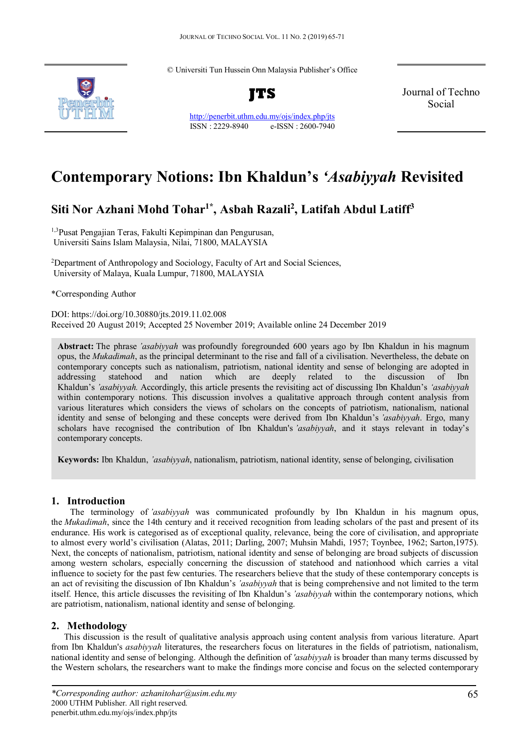© Universiti Tun Hussein Onn Malaysia Publisher's Office



**JTS**

<http://penerbit.uthm.edu.my/ojs/index.php/jts> ISSN : 2229-8940 e-ISSN : 2600-7940 Journal of Techno Social

# **Contemporary Notions: Ibn Khaldun's** *'Asabiyyah* **Revisited**

# **Siti Nor Azhani Mohd Tohar1\* , Asbah Razali2 , Latifah Abdul Latiff3**

1,3Pusat Pengajian Teras, Fakulti Kepimpinan dan Pengurusan, Universiti Sains Islam Malaysia, Nilai, 71800, MALAYSIA

<sup>2</sup>Department of Anthropology and Sociology, Faculty of Art and Social Sciences, University of Malaya, Kuala Lumpur, 71800, MALAYSIA

\*Corresponding Author

DOI: https://doi.org/10.30880/jts.2019.11.02.008 Received 20 August 2019; Accepted 25 November 2019; Available online 24 December 2019

**Abstract:** The phrase *'asabiyyah* was profoundly foregrounded 600 years ago by Ibn Khaldun in his magnum opus, the *Mukadimah*, as the principal determinant to the rise and fall of a civilisation. Nevertheless, the debate on contemporary concepts such as nationalism, patriotism, national identity and sense of belonging are adopted in addressing statehood and nation which are deeply related to the discussion of Ibn Khaldun's *'asabiyyah.* Accordingly, this article presents the revisiting act of discussing Ibn Khaldun's *'asabiyyah* within contemporary notions. This discussion involves a qualitative approach through content analysis from various literatures which considers the views of scholars on the concepts of patriotism, nationalism, national identity and sense of belonging and these concepts were derived from Ibn Khaldun's *'asabiyyah*. Ergo, many scholars have recognised the contribution of Ibn Khaldun's *'asabiyyah*, and it stays relevant in today's contemporary concepts.

**Keywords:** Ibn Khaldun, *'asabiyyah*, nationalism, patriotism, national identity, sense of belonging, civilisation

## **1. Introduction**

The terminology of *'asabiyyah* was communicated profoundly by Ibn Khaldun in his magnum opus, the *Mukadimah*, since the 14th century and it received recognition from leading scholars of the past and present of its endurance. His work is categorised as of exceptional quality, relevance, being the core of civilisation, and appropriate to almost every world's civilisation (Alatas, 2011; Darling, 2007; Muhsin Mahdi, 1957; Toynbee, 1962; Sarton,1975). Next, the concepts of nationalism, patriotism, national identity and sense of belonging are broad subjects of discussion among western scholars, especially concerning the discussion of statehood and nationhood which carries a vital influence to society for the past few centuries. The researchers believe that the study of these contemporary concepts is an act of revisiting the discussion of Ibn Khaldun's *'asabiyyah* that is being comprehensive and not limited to the term itself. Hence, this article discusses the revisiting of Ibn Khaldun's *'asabiyyah* within the contemporary notions, which are patriotism, nationalism, national identity and sense of belonging.

## **2. Methodology**

This discussion is the result of qualitative analysis approach using content analysis from various literature. Apart from Ibn Khaldun's *asabiyyah* literatures, the researchers focus on literatures in the fields of patriotism, nationalism, national identity and sense of belonging. Although the definition of *'asabiyyah* is broader than many terms discussed by the Western scholars, the researchers want to make the findings more concise and focus on the selected contemporary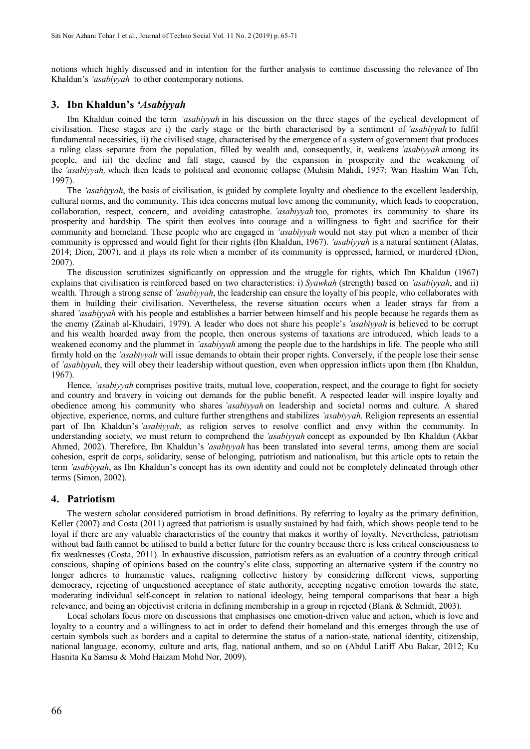notions which highly discussed and in intention for the further analysis to continue discussing the relevance of Ibn Khaldun's *'asabiyyah* to other contemporary notions.

#### **3. Ibn Khaldun's** *'Asabiyyah*

Ibn Khaldun coined the term *'asabiyyah* in his discussion on the three stages of the cyclical development of civilisation. These stages are i) the early stage or the birth characterised by a sentiment of *'asabiyyah* to fulfil fundamental necessities, ii) the civilised stage, characterised by the emergence of a system of government that produces a ruling class separate from the population, filled by wealth and, consequently, it, weakens *'asabiyyah* among its people, and iii) the decline and fall stage, caused by the expansion in prosperity and the weakening of the *'asabiyyah,* which then leads to political and economic collapse (Muhsin Mahdi, 1957; Wan Hashim Wan Teh, 1997).

The *'asabiyyah*, the basis of civilisation, is guided by complete loyalty and obedience to the excellent leadership, cultural norms, and the community. This idea concerns mutual love among the community, which leads to cooperation, collaboration, respect, concern, and avoiding catastrophe. *'asabiyyah* too, promotes its community to share its prosperity and hardship. The spirit then evolves into courage and a willingness to fight and sacrifice for their community and homeland. These people who are engaged in *'asabiyyah* would not stay put when a member of their community is oppressed and would fight for their rights (Ibn Khaldun, 1967). *'asabiyyah* is a natural sentiment (Alatas, 2014; Dion, 2007), and it plays its role when a member of its community is oppressed, harmed, or murdered (Dion, 2007).

The discussion scrutinizes significantly on oppression and the struggle for rights, which Ibn Khaldun (1967) explains that civilisation is reinforced based on two characteristics: i) *Syawkah* (strength) based on *'asabiyyah*, and ii) wealth. Through a strong sense of *'asabiyyah*, the leadership can ensure the loyalty of his people, who collaborates with them in building their civilisation. Nevertheless, the reverse situation occurs when a leader strays far from a shared *'asabiyyah* with his people and establishes a barrier between himself and his people because he regards them as the enemy (Zainab al-Khudairi, 1979). A leader who does not share his people's *'asabiyyah* is believed to be corrupt and his wealth hoarded away from the people, then onerous systems of taxations are introduced, which leads to a weakened economy and the plummet in *'asabiyyah* among the people due to the hardships in life. The people who still firmly hold on the *'asabiyyah* will issue demands to obtain their proper rights. Conversely, if the people lose their sense of *'asabiyyah*, they will obey their leadership without question, even when oppression inflicts upon them (Ibn Khaldun, 1967).

Hence, *'asabiyyah* comprises positive traits, mutual love, cooperation, respect, and the courage to fight for society and country and bravery in voicing out demands for the public benefit. A respected leader will inspire loyalty and obedience among his community who shares *'asabiyyah* on leadership and societal norms and culture. A shared objective, experience, norms, and culture further strengthens and stabilizes *'asabiyyah*. Religion represents an essential part of Ibn Khaldun's *'asabiyyah*, as religion serves to resolve conflict and envy within the community. In understanding society, we must return to comprehend the *'asabiyyah* concept as expounded by Ibn Khaldun (Akbar Ahmed, 2002). Therefore, Ibn Khaldun's *'asabiyyah* has been translated into several terms, among them are social cohesion, esprit de corps, solidarity, sense of belonging, patriotism and nationalism, but this article opts to retain the term *'asabiyyah*, as Ibn Khaldun's concept has its own identity and could not be completely delineated through other terms (Simon, 2002).

#### **4. Patriotism**

The western scholar considered patriotism in broad definitions. By referring to loyalty as the primary definition, Keller (2007) and Costa (2011) agreed that patriotism is usually sustained by bad faith, which shows people tend to be loyal if there are any valuable characteristics of the country that makes it worthy of loyalty. Nevertheless, patriotism without bad faith cannot be utilised to build a better future for the country because there is less critical consciousness to fix weaknesses (Costa, 2011). In exhaustive discussion, patriotism refers as an evaluation of a country through critical conscious, shaping of opinions based on the country's elite class, supporting an alternative system if the country no longer adheres to humanistic values, realigning collective history by considering different views, supporting democracy, rejecting of unquestioned acceptance of state authority, accepting negative emotion towards the state, moderating individual self-concept in relation to national ideology, being temporal comparisons that bear a high relevance, and being an objectivist criteria in defining membership in a group in rejected (Blank & Schmidt, 2003).

Local scholars focus more on discussions that emphasises one emotion-driven value and action, which is love and loyalty to a country and a willingness to act in order to defend their homeland and this emerges through the use of certain symbols such as borders and a capital to determine the status of a nation-state, national identity, citizenship, national language, economy, culture and arts, flag, national anthem, and so on (Abdul Latiff Abu Bakar, 2012; Ku Hasnita Ku Samsu & Mohd Haizam Mohd Nor, 2009).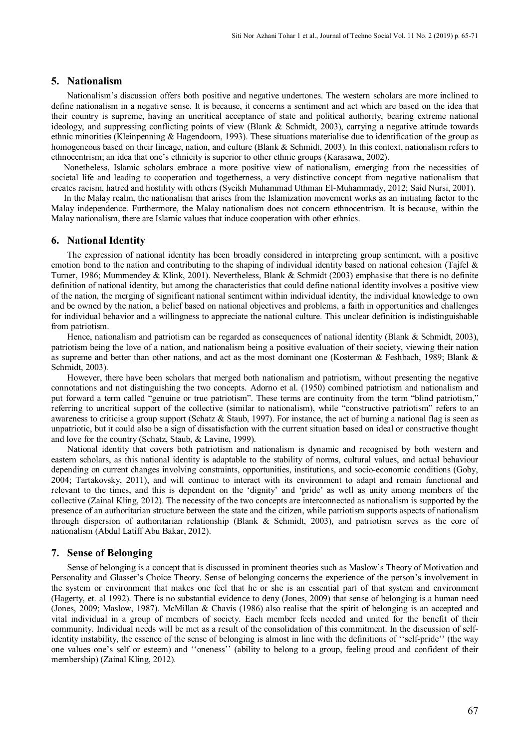#### **5. Nationalism**

Nationalism's discussion offers both positive and negative undertones. The western scholars are more inclined to define nationalism in a negative sense. It is because, it concerns a sentiment and act which are based on the idea that their country is supreme, having an uncritical acceptance of state and political authority, bearing extreme national ideology, and suppressing conflicting points of view (Blank & Schmidt, 2003), carrying a negative attitude towards ethnic minorities (Kleinpenning & Hagendoorn, 1993). These situations materialise due to identification of the group as homogeneous based on their lineage, nation, and culture (Blank & Schmidt, 2003). In this context, nationalism refers to ethnocentrism; an idea that one's ethnicity is superior to other ethnic groups (Karasawa, 2002).

Nonetheless, Islamic scholars embrace a more positive view of nationalism, emerging from the necessities of societal life and leading to cooperation and togetherness, a very distinctive concept from negative nationalism that creates racism, hatred and hostility with others (Syeikh Muhammad Uthman El-Muhammady, 2012; Said Nursi, 2001).

In the Malay realm, the nationalism that arises from the Islamization movement works as an initiating factor to the Malay independence. Furthermore, the Malay nationalism does not concern ethnocentrism. It is because, within the Malay nationalism, there are Islamic values that induce cooperation with other ethnics.

#### **6. National Identity**

The expression of national identity has been broadly considered in interpreting group sentiment, with a positive emotion bond to the nation and contributing to the shaping of individual identity based on national cohesion (Tajfel  $\&$ Turner, 1986; Mummendey & Klink, 2001). Nevertheless, Blank & Schmidt (2003) emphasise that there is no definite definition of national identity, but among the characteristics that could define national identity involves a positive view of the nation, the merging of significant national sentiment within individual identity, the individual knowledge to own and be owned by the nation, a belief based on national objectives and problems, a faith in opportunities and challenges for individual behavior and a willingness to appreciate the national culture. This unclear definition is indistinguishable from patriotism.

Hence, nationalism and patriotism can be regarded as consequences of national identity (Blank & Schmidt, 2003), patriotism being the love of a nation, and nationalism being a positive evaluation of their society, viewing their nation as supreme and better than other nations, and act as the most dominant one (Kosterman & Feshbach, 1989; Blank & Schmidt, 2003).

However, there have been scholars that merged both nationalism and patriotism, without presenting the negative connotations and not distinguishing the two concepts. Adorno et al. (1950) combined patriotism and nationalism and put forward a term called "genuine or true patriotism". These terms are continuity from the term "blind patriotism," referring to uncritical support of the collective (similar to nationalism), while "constructive patriotism" refers to an awareness to criticise a group support (Schatz & Staub, 1997). For instance, the act of burning a national flag is seen as unpatriotic, but it could also be a sign of dissatisfaction with the current situation based on ideal or constructive thought and love for the country (Schatz, Staub, & Lavine, 1999).

National identity that covers both patriotism and nationalism is dynamic and recognised by both western and eastern scholars, as this national identity is adaptable to the stability of norms, cultural values, and actual behaviour depending on current changes involving constraints, opportunities, institutions, and socio-economic conditions (Goby, 2004; Tartakovsky, 2011), and will continue to interact with its environment to adapt and remain functional and relevant to the times, and this is dependent on the 'dignity' and 'pride' as well as unity among members of the collective (Zainal Kling, 2012). The necessity of the two concepts are interconnected as nationalism is supported by the presence of an authoritarian structure between the state and the citizen, while patriotism supports aspects of nationalism through dispersion of authoritarian relationship (Blank & Schmidt, 2003), and patriotism serves as the core of nationalism (Abdul Latiff Abu Bakar, 2012).

#### **7. Sense of Belonging**

Sense of belonging is a concept that is discussed in prominent theories such as Maslow's Theory of Motivation and Personality and Glasser's Choice Theory. Sense of belonging concerns the experience of the person's involvement in the system or environment that makes one feel that he or she is an essential part of that system and environment (Hagerty, et. al 1992). There is no substantial evidence to deny (Jones, 2009) that sense of belonging is a human need (Jones, 2009; Maslow, 1987). McMillan & Chavis (1986) also realise that the spirit of belonging is an accepted and vital individual in a group of members of society. Each member feels needed and united for the benefit of their community. Individual needs will be met as a result of the consolidation of this commitment. In the discussion of selfidentity instability, the essence of the sense of belonging is almost in line with the definitions of ''self-pride'' (the way one values one's self or esteem) and ''oneness'' (ability to belong to a group, feeling proud and confident of their membership) (Zainal Kling, 2012).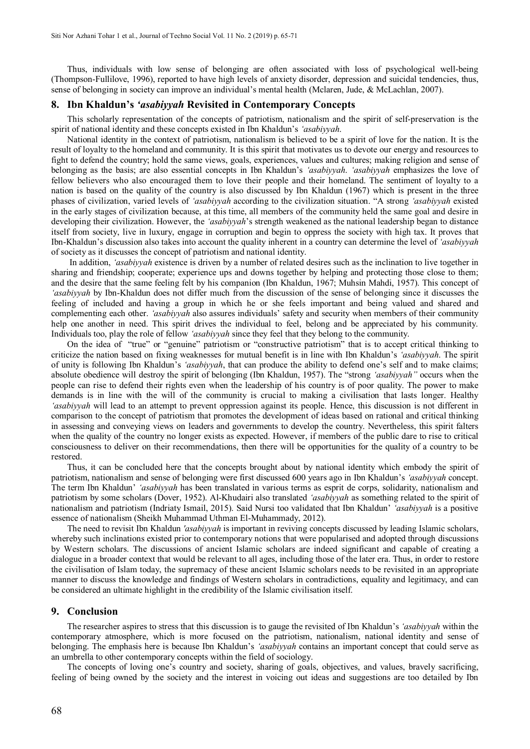Thus, individuals with low sense of belonging are often associated with loss of psychological well-being (Thompson-Fullilove, 1996), reported to have high levels of anxiety disorder, depression and suicidal tendencies, thus, sense of belonging in society can improve an individual's mental health (Mclaren, Jude, & McLachlan, 2007).

#### **8. Ibn Khaldun's** *'asabiyyah* **Revisited in Contemporary Concepts**

This scholarly representation of the concepts of patriotism, nationalism and the spirit of self-preservation is the spirit of national identity and these concepts existed in Ibn Khaldun's *'asabiyyah*.

National identity in the context of patriotism, nationalism is believed to be a spirit of love for the nation. It is the result of loyalty to the homeland and community. It is this spirit that motivates us to devote our energy and resources to fight to defend the country; hold the same views, goals, experiences, values and cultures; making religion and sense of belonging as the basis; are also essential concepts in Ibn Khaldun's *'asabiyyah*. *'asabiyyah* emphasizes the love of fellow believers who also encouraged them to love their people and their homeland. The sentiment of loyalty to a nation is based on the quality of the country is also discussed by Ibn Khaldun (1967) which is present in the three phases of civilization, varied levels of *'asabiyyah* according to the civilization situation. "A strong *'asabiyyah* existed in the early stages of civilization because, at this time, all members of the community held the same goal and desire in developing their civilization. However, the *'asabiyyah*'s strength weakened as the national leadership began to distance itself from society, live in luxury, engage in corruption and begin to oppress the society with high tax. It proves that Ibn-Khaldun's discussion also takes into account the quality inherent in a country can determine the level of *'asabiyyah* of society as it discusses the concept of patriotism and national identity.

In addition, *'asabiyyah* existence is driven by a number of related desires such as the inclination to live together in sharing and friendship; cooperate; experience ups and downs together by helping and protecting those close to them; and the desire that the same feeling felt by his companion (Ibn Khaldun, 1967; Muhsin Mahdi, 1957). This concept of *'asabiyyah* by Ibn-Khaldun does not differ much from the discussion of the sense of belonging since it discusses the feeling of included and having a group in which he or she feels important and being valued and shared and complementing each other. *'asabiyyah* also assures individuals' safety and security when members of their community help one another in need. This spirit drives the individual to feel, belong and be appreciated by his community. Individuals too, play the role of fellow *'asabiyyah* since they feel that they belong to the community.

On the idea of "true" or "genuine" patriotism or "constructive patriotism" that is to accept critical thinking to criticize the nation based on fixing weaknesses for mutual benefit is in line with Ibn Khaldun's *'asabiyyah*. The spirit of unity is following Ibn Khaldun's *'asabiyyah*, that can produce the ability to defend one's self and to make claims; absolute obedience will destroy the spirit of belonging (Ibn Khaldun, 1957). The "strong *'asabiyyah"* occurs when the people can rise to defend their rights even when the leadership of his country is of poor quality. The power to make demands is in line with the will of the community is crucial to making a civilisation that lasts longer. Healthy *'asabiyyah* will lead to an attempt to prevent oppression against its people. Hence, this discussion is not different in comparison to the concept of patriotism that promotes the development of ideas based on rational and critical thinking in assessing and conveying views on leaders and governments to develop the country. Nevertheless, this spirit falters when the quality of the country no longer exists as expected. However, if members of the public dare to rise to critical consciousness to deliver on their recommendations, then there will be opportunities for the quality of a country to be restored.

Thus, it can be concluded here that the concepts brought about by national identity which embody the spirit of patriotism, nationalism and sense of belonging were first discussed 600 years ago in Ibn Khaldun's *'asabiyyah* concept. The term Ibn Khaldun' *'asabiyyah* has been translated in various terms as esprit de corps, solidarity, nationalism and patriotism by some scholars (Dover, 1952). Al-Khudairi also translated *'asabiyyah* as something related to the spirit of nationalism and patriotism (Indriaty Ismail, 2015). Said Nursi too validated that Ibn Khaldun' *'asabiyyah* is a positive essence of nationalism (Sheikh Muhammad Uthman El-Muhammady, 2012).

The need to revisit Ibn Khaldun *'asabiyyah* is important in reviving concepts discussed by leading Islamic scholars, whereby such inclinations existed prior to contemporary notions that were popularised and adopted through discussions by Western scholars. The discussions of ancient Islamic scholars are indeed significant and capable of creating a dialogue in a broader context that would be relevant to all ages, including those of the later era. Thus, in order to restore the civilisation of Islam today, the supremacy of these ancient Islamic scholars needs to be revisited in an appropriate manner to discuss the knowledge and findings of Western scholars in contradictions, equality and legitimacy, and can be considered an ultimate highlight in the credibility of the Islamic civilisation itself.

#### **9. Conclusion**

The researcher aspires to stress that this discussion is to gauge the revisited of Ibn Khaldun's *'asabiyyah* within the contemporary atmosphere, which is more focused on the patriotism, nationalism, national identity and sense of belonging. The emphasis here is because Ibn Khaldun's *'asabiyyah* contains an important concept that could serve as an umbrella to other contemporary concepts within the field of sociology.

The concepts of loving one's country and society, sharing of goals, objectives, and values, bravely sacrificing, feeling of being owned by the society and the interest in voicing out ideas and suggestions are too detailed by Ibn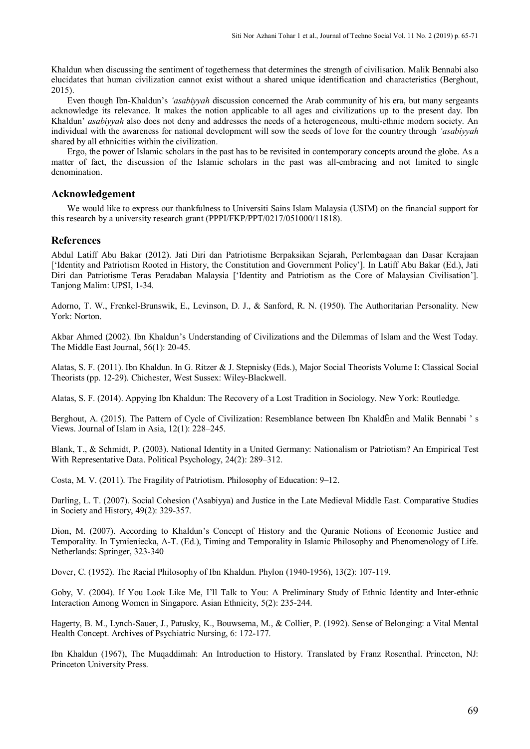Khaldun when discussing the sentiment of togetherness that determines the strength of civilisation. Malik Bennabi also elucidates that human civilization cannot exist without a shared unique identification and characteristics (Berghout, 2015).

Even though Ibn-Khaldun's *'asabiyyah* discussion concerned the Arab community of his era, but many sergeants acknowledge its relevance. It makes the notion applicable to all ages and civilizations up to the present day. Ibn Khaldun' *asabiyyah* also does not deny and addresses the needs of a heterogeneous, multi-ethnic modern society. An individual with the awareness for national development will sow the seeds of love for the country through *'asabiyyah* shared by all ethnicities within the civilization.

Ergo, the power of Islamic scholars in the past has to be revisited in contemporary concepts around the globe. As a matter of fact, the discussion of the Islamic scholars in the past was all-embracing and not limited to single denomination.

#### **Acknowledgement**

We would like to express our thankfulness to Universiti Sains Islam Malaysia (USIM) on the financial support for this research by a university research grant (PPPI/FKP/PPT/0217/051000/11818).

#### **References**

Abdul Latiff Abu Bakar (2012). Jati Diri dan Patriotisme Berpaksikan Sejarah, Perlembagaan dan Dasar Kerajaan ['Identity and Patriotism Rooted in History, the Constitution and Government Policy']. In Latiff Abu Bakar (Ed.), Jati Diri dan Patriotisme Teras Peradaban Malaysia ['Identity and Patriotism as the Core of Malaysian Civilisation']. Tanjong Malim: UPSI, 1-34.

Adorno, T. W., Frenkel-Brunswik, E., Levinson, D. J., & Sanford, R. N. (1950). The Authoritarian Personality. New York: Norton.

Akbar Ahmed (2002). Ibn Khaldun's Understanding of Civilizations and the Dilemmas of Islam and the West Today. The Middle East Journal, 56(1): 20-45.

Alatas, S. F. (2011). Ibn Khaldun. In G. Ritzer & J. Stepnisky (Eds.), Major Social Theorists Volume I: Classical Social Theorists (pp. 12-29). Chichester, West Sussex: Wiley-Blackwell.

Alatas, S. F. (2014). Appying Ibn Khaldun: The Recovery of a Lost Tradition in Sociology. New York: Routledge.

Berghout, A. (2015). The Pattern of Cycle of Civilization: Resemblance between Ibn KhaldËn and Malik Bennabi ' s Views. Journal of Islam in Asia, 12(1): 228–245.

Blank, T., & Schmidt, P. (2003). National Identity in a United Germany: Nationalism or Patriotism? An Empirical Test With Representative Data. Political Psychology, 24(2): 289–312.

Costa, M. V. (2011). The Fragility of Patriotism. Philosophy of Education: 9–12.

Darling, L. T. (2007). Social Cohesion ('Asabiyya) and Justice in the Late Medieval Middle East. Comparative Studies in Society and History, 49(2): 329-357.

Dion, M. (2007). According to Khaldun's Concept of History and the Quranic Notions of Economic Justice and Temporality. In Tymieniecka, A-T. (Ed.), Timing and Temporality in Islamic Philosophy and Phenomenology of Life. Netherlands: Springer, 323-340

Dover, C. (1952). The Racial Philosophy of Ibn Khaldun. Phylon (1940-1956), 13(2): 107-119.

Goby, V. (2004). If You Look Like Me, I'll Talk to You: A Preliminary Study of Ethnic Identity and Inter-ethnic Interaction Among Women in Singapore. Asian Ethnicity, 5(2): 235-244.

Hagerty, B. M., Lynch-Sauer, J., Patusky, K., Bouwsema, M., & Collier, P. (1992). Sense of Belonging: a Vital Mental Health Concept. Archives of Psychiatric Nursing, 6: 172-177.

Ibn Khaldun (1967), The Muqaddimah: An Introduction to History. Translated by Franz Rosenthal. Princeton, NJ: Princeton University Press.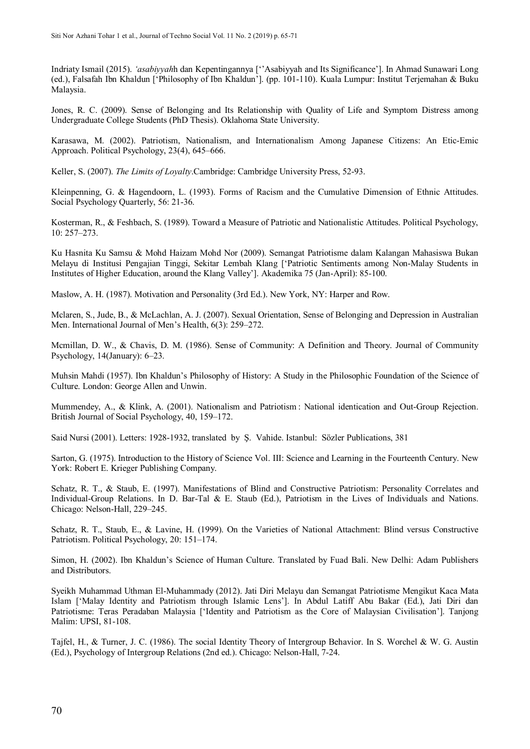Indriaty Ismail (2015). *'asabiyyah*h dan Kepentingannya [''Asabiyyah and Its Significance']. In Ahmad Sunawari Long (ed.), Falsafah Ibn Khaldun ['Philosophy of Ibn Khaldun']. (pp. 101-110). Kuala Lumpur: Institut Terjemahan & Buku Malaysia.

Jones, R. C. (2009). Sense of Belonging and Its Relationship with Quality of Life and Symptom Distress among Undergraduate College Students (PhD Thesis). Oklahoma State University.

Karasawa, M. (2002). Patriotism, Nationalism, and Internationalism Among Japanese Citizens: An Etic-Emic Approach. Political Psychology, 23(4), 645–666.

Keller, S. (2007). *The Limits of Loyalty*.Cambridge: Cambridge University Press, 52-93.

Kleinpenning, G. & Hagendoorn, L. (1993). Forms of Racism and the Cumulative Dimension of Ethnic Attitudes. Social Psychology Quarterly, 56: 21-36.

Kosterman, R., & Feshbach, S. (1989). Toward a Measure of Patriotic and Nationalistic Attitudes. Political Psychology, 10: 257–273.

Ku Hasnita Ku Samsu & Mohd Haizam Mohd Nor (2009). Semangat Patriotisme dalam Kalangan Mahasiswa Bukan Melayu di Institusi Pengajian Tinggi, Sekitar Lembah Klang ['Patriotic Sentiments among Non-Malay Students in Institutes of Higher Education, around the Klang Valley']. Akademika 75 (Jan-April): 85-100.

Maslow, A. H. (1987). Motivation and Personality (3rd Ed.). New York, NY: Harper and Row.

Mclaren, S., Jude, B., & McLachlan, A. J. (2007). Sexual Orientation, Sense of Belonging and Depression in Australian Men. International Journal of Men's Health, 6(3): 259–272.

Mcmillan, D. W., & Chavis, D. M. (1986). Sense of Community: A Definition and Theory. Journal of Community Psychology, 14(January): 6–23.

Muhsin Mahdi (1957). Ibn Khaldun's Philosophy of History: A Study in the Philosophic Foundation of the Science of Culture. London: George Allen and Unwin.

Mummendey, A., & Klink, A. (2001). Nationalism and Patriotism : National identication and Out-Group Rejection. British Journal of Social Psychology, 40, 159–172.

Said Nursi (2001). Letters: 1928-1932, translated by Ş. Vahide. Istanbul: Sözler Publications, 381

Sarton, G. (1975). Introduction to the History of Science Vol. III: Science and Learning in the Fourteenth Century. New York: Robert E. Krieger Publishing Company.

Schatz, R. T., & Staub, E. (1997). Manifestations of Blind and Constructive Patriotism: Personality Correlates and Individual-Group Relations. In D. Bar-Tal & E. Staub (Ed.), Patriotism in the Lives of Individuals and Nations. Chicago: Nelson-Hall, 229–245.

Schatz, R. T., Staub, E., & Lavine, H. (1999). On the Varieties of National Attachment: Blind versus Constructive Patriotism. Political Psychology, 20: 151–174.

Simon, H. (2002). Ibn Khaldun's Science of Human Culture. Translated by Fuad Bali. New Delhi: Adam Publishers and Distributors.

Syeikh Muhammad Uthman El-Muhammady (2012). Jati Diri Melayu dan Semangat Patriotisme Mengikut Kaca Mata Islam ['Malay Identity and Patriotism through Islamic Lens']. In Abdul Latiff Abu Bakar (Ed.), Jati Diri dan Patriotisme: Teras Peradaban Malaysia ['Identity and Patriotism as the Core of Malaysian Civilisation']. Tanjong Malim: UPSI, 81-108.

Tajfel, H., & Turner, J. C. (1986). The social Identity Theory of Intergroup Behavior. In S. Worchel & W. G. Austin (Ed.), Psychology of Intergroup Relations (2nd ed.). Chicago: Nelson-Hall, 7-24.